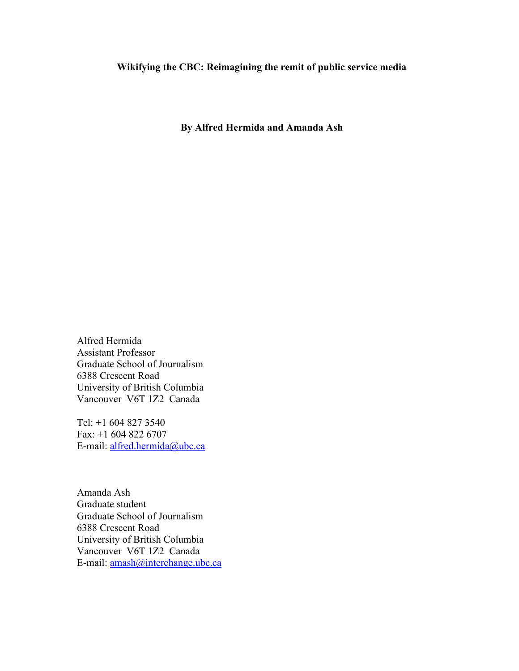**By Alfred Hermida and Amanda Ash**

Alfred Hermida Assistant Professor Graduate School of Journalism 6388 Crescent Road University of British Columbia Vancouver V6T 1Z2 Canada

Tel: +1 604 827 3540 Fax: +1 604 822 6707 E-mail: alfred.hermida@ubc.ca

Amanda Ash Graduate student Graduate School of Journalism 6388 Crescent Road University of British Columbia Vancouver V6T 1Z2 Canada E-mail: amash@interchange.ubc.ca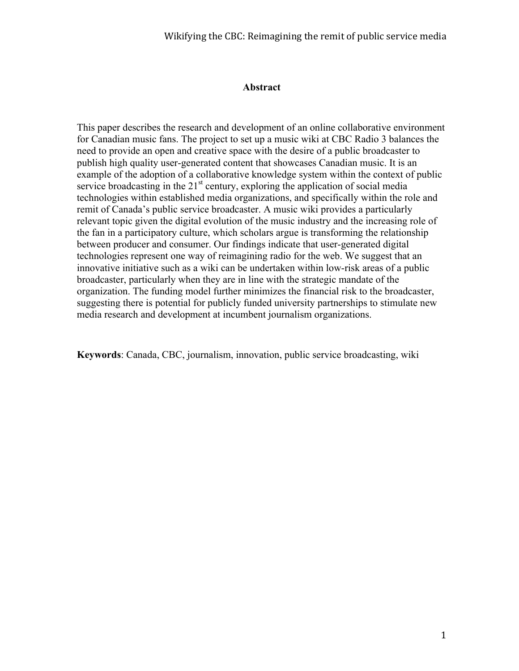#### **Abstract**

This paper describes the research and development of an online collaborative environment for Canadian music fans. The project to set up a music wiki at CBC Radio 3 balances the need to provide an open and creative space with the desire of a public broadcaster to publish high quality user-generated content that showcases Canadian music. It is an example of the adoption of a collaborative knowledge system within the context of public service broadcasting in the  $21<sup>st</sup>$  century, exploring the application of social media technologies within established media organizations, and specifically within the role and remit of Canada's public service broadcaster. A music wiki provides a particularly relevant topic given the digital evolution of the music industry and the increasing role of the fan in a participatory culture, which scholars argue is transforming the relationship between producer and consumer. Our findings indicate that user-generated digital technologies represent one way of reimagining radio for the web. We suggest that an innovative initiative such as a wiki can be undertaken within low-risk areas of a public broadcaster, particularly when they are in line with the strategic mandate of the organization. The funding model further minimizes the financial risk to the broadcaster, suggesting there is potential for publicly funded university partnerships to stimulate new media research and development at incumbent journalism organizations.

**Keywords**: Canada, CBC, journalism, innovation, public service broadcasting, wiki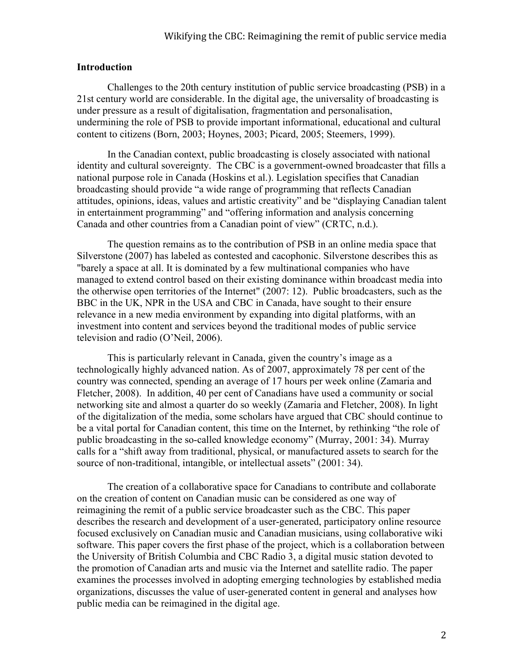### **Introduction**

Challenges to the 20th century institution of public service broadcasting (PSB) in a 21st century world are considerable. In the digital age, the universality of broadcasting is under pressure as a result of digitalisation, fragmentation and personalisation, undermining the role of PSB to provide important informational, educational and cultural content to citizens (Born, 2003; Hoynes, 2003; Picard, 2005; Steemers, 1999).

In the Canadian context, public broadcasting is closely associated with national identity and cultural sovereignty. The CBC is a government-owned broadcaster that fills a national purpose role in Canada (Hoskins et al.). Legislation specifies that Canadian broadcasting should provide "a wide range of programming that reflects Canadian attitudes, opinions, ideas, values and artistic creativity" and be "displaying Canadian talent in entertainment programming" and "offering information and analysis concerning Canada and other countries from a Canadian point of view" (CRTC, n.d.).

The question remains as to the contribution of PSB in an online media space that Silverstone (2007) has labeled as contested and cacophonic. Silverstone describes this as "barely a space at all. It is dominated by a few multinational companies who have managed to extend control based on their existing dominance within broadcast media into the otherwise open territories of the Internet" (2007: 12). Public broadcasters, such as the BBC in the UK, NPR in the USA and CBC in Canada, have sought to their ensure relevance in a new media environment by expanding into digital platforms, with an investment into content and services beyond the traditional modes of public service television and radio (O'Neil, 2006).

This is particularly relevant in Canada, given the country's image as a technologically highly advanced nation. As of 2007, approximately 78 per cent of the country was connected, spending an average of 17 hours per week online (Zamaria and Fletcher, 2008). In addition, 40 per cent of Canadians have used a community or social networking site and almost a quarter do so weekly (Zamaria and Fletcher, 2008). In light of the digitalization of the media, some scholars have argued that CBC should continue to be a vital portal for Canadian content, this time on the Internet, by rethinking "the role of public broadcasting in the so-called knowledge economy" (Murray, 2001: 34). Murray calls for a "shift away from traditional, physical, or manufactured assets to search for the source of non-traditional, intangible, or intellectual assets" (2001: 34).

The creation of a collaborative space for Canadians to contribute and collaborate on the creation of content on Canadian music can be considered as one way of reimagining the remit of a public service broadcaster such as the CBC. This paper describes the research and development of a user-generated, participatory online resource focused exclusively on Canadian music and Canadian musicians, using collaborative wiki software. This paper covers the first phase of the project, which is a collaboration between the University of British Columbia and CBC Radio 3, a digital music station devoted to the promotion of Canadian arts and music via the Internet and satellite radio. The paper examines the processes involved in adopting emerging technologies by established media organizations, discusses the value of user-generated content in general and analyses how public media can be reimagined in the digital age.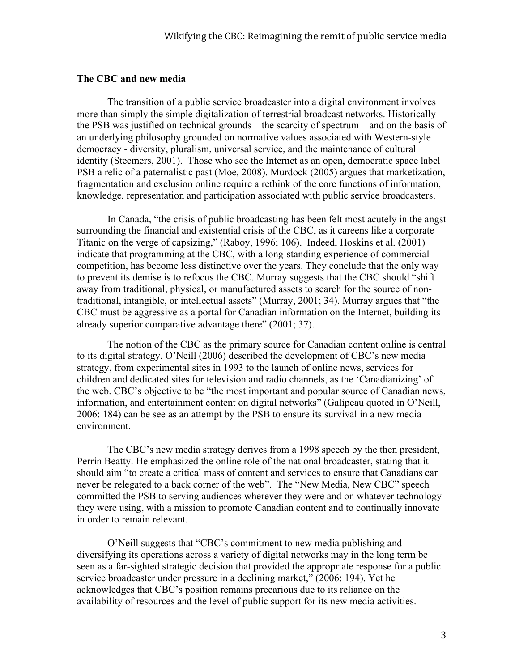### **The CBC and new media**

The transition of a public service broadcaster into a digital environment involves more than simply the simple digitalization of terrestrial broadcast networks. Historically the PSB was justified on technical grounds – the scarcity of spectrum – and on the basis of an underlying philosophy grounded on normative values associated with Western-style democracy - diversity, pluralism, universal service, and the maintenance of cultural identity (Steemers, 2001). Those who see the Internet as an open, democratic space label PSB a relic of a paternalistic past (Moe, 2008). Murdock (2005) argues that marketization, fragmentation and exclusion online require a rethink of the core functions of information, knowledge, representation and participation associated with public service broadcasters.

In Canada, "the crisis of public broadcasting has been felt most acutely in the angst surrounding the financial and existential crisis of the CBC, as it careens like a corporate Titanic on the verge of capsizing," (Raboy, 1996; 106). Indeed, Hoskins et al. (2001) indicate that programming at the CBC, with a long-standing experience of commercial competition, has become less distinctive over the years. They conclude that the only way to prevent its demise is to refocus the CBC. Murray suggests that the CBC should "shift away from traditional, physical, or manufactured assets to search for the source of nontraditional, intangible, or intellectual assets" (Murray, 2001; 34). Murray argues that "the CBC must be aggressive as a portal for Canadian information on the Internet, building its already superior comparative advantage there" (2001; 37).

The notion of the CBC as the primary source for Canadian content online is central to its digital strategy. O'Neill (2006) described the development of CBC's new media strategy, from experimental sites in 1993 to the launch of online news, services for children and dedicated sites for television and radio channels, as the 'Canadianizing' of the web. CBC's objective to be "the most important and popular source of Canadian news, information, and entertainment content on digital networks" (Galipeau quoted in O'Neill, 2006: 184) can be see as an attempt by the PSB to ensure its survival in a new media environment.

The CBC's new media strategy derives from a 1998 speech by the then president, Perrin Beatty. He emphasized the online role of the national broadcaster, stating that it should aim "to create a critical mass of content and services to ensure that Canadians can never be relegated to a back corner of the web". The "New Media, New CBC" speech committed the PSB to serving audiences wherever they were and on whatever technology they were using, with a mission to promote Canadian content and to continually innovate in order to remain relevant.

O'Neill suggests that "CBC's commitment to new media publishing and diversifying its operations across a variety of digital networks may in the long term be seen as a far-sighted strategic decision that provided the appropriate response for a public service broadcaster under pressure in a declining market," (2006: 194). Yet he acknowledges that CBC's position remains precarious due to its reliance on the availability of resources and the level of public support for its new media activities.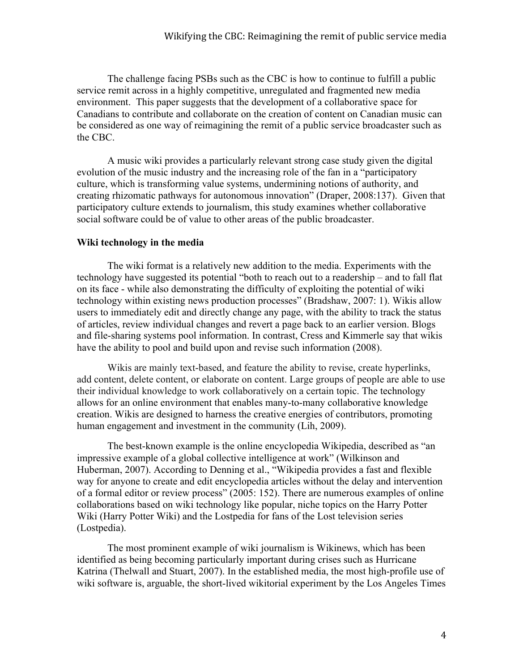The challenge facing PSBs such as the CBC is how to continue to fulfill a public service remit across in a highly competitive, unregulated and fragmented new media environment. This paper suggests that the development of a collaborative space for Canadians to contribute and collaborate on the creation of content on Canadian music can be considered as one way of reimagining the remit of a public service broadcaster such as the CBC.

A music wiki provides a particularly relevant strong case study given the digital evolution of the music industry and the increasing role of the fan in a "participatory culture, which is transforming value systems, undermining notions of authority, and creating rhizomatic pathways for autonomous innovation" (Draper, 2008:137). Given that participatory culture extends to journalism, this study examines whether collaborative social software could be of value to other areas of the public broadcaster.

# **Wiki technology in the media**

The wiki format is a relatively new addition to the media. Experiments with the technology have suggested its potential "both to reach out to a readership – and to fall flat on its face - while also demonstrating the difficulty of exploiting the potential of wiki technology within existing news production processes" (Bradshaw, 2007: 1). Wikis allow users to immediately edit and directly change any page, with the ability to track the status of articles, review individual changes and revert a page back to an earlier version. Blogs and file-sharing systems pool information. In contrast, Cress and Kimmerle say that wikis have the ability to pool and build upon and revise such information (2008).

Wikis are mainly text-based, and feature the ability to revise, create hyperlinks, add content, delete content, or elaborate on content. Large groups of people are able to use their individual knowledge to work collaboratively on a certain topic. The technology allows for an online environment that enables many-to-many collaborative knowledge creation. Wikis are designed to harness the creative energies of contributors, promoting human engagement and investment in the community (Lih, 2009).

The best-known example is the online encyclopedia Wikipedia, described as "an impressive example of a global collective intelligence at work" (Wilkinson and Huberman, 2007). According to Denning et al., "Wikipedia provides a fast and flexible way for anyone to create and edit encyclopedia articles without the delay and intervention of a formal editor or review process" (2005: 152). There are numerous examples of online collaborations based on wiki technology like popular, niche topics on the Harry Potter Wiki (Harry Potter Wiki) and the Lostpedia for fans of the Lost television series (Lostpedia).

The most prominent example of wiki journalism is Wikinews, which has been identified as being becoming particularly important during crises such as Hurricane Katrina (Thelwall and Stuart, 2007). In the established media, the most high-profile use of wiki software is, arguable, the short-lived wikitorial experiment by the Los Angeles Times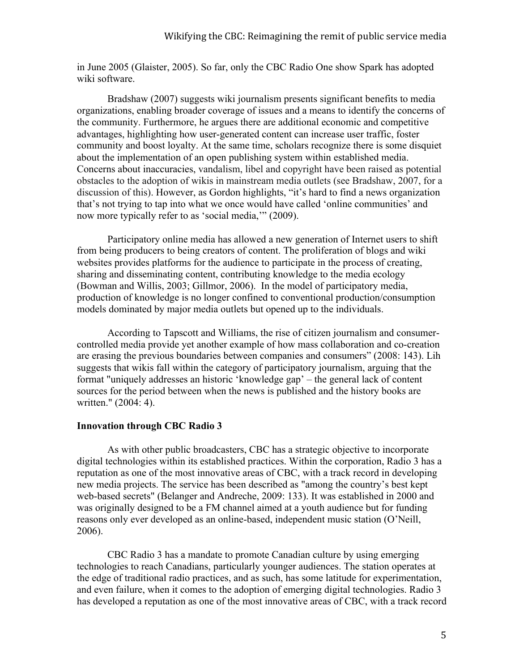in June 2005 (Glaister, 2005). So far, only the CBC Radio One show Spark has adopted wiki software.

Bradshaw (2007) suggests wiki journalism presents significant benefits to media organizations, enabling broader coverage of issues and a means to identify the concerns of the community. Furthermore, he argues there are additional economic and competitive advantages, highlighting how user-generated content can increase user traffic, foster community and boost loyalty. At the same time, scholars recognize there is some disquiet about the implementation of an open publishing system within established media. Concerns about inaccuracies, vandalism, libel and copyright have been raised as potential obstacles to the adoption of wikis in mainstream media outlets (see Bradshaw, 2007, for a discussion of this). However, as Gordon highlights, "it's hard to find a news organization that's not trying to tap into what we once would have called 'online communities' and now more typically refer to as 'social media,'" (2009).

Participatory online media has allowed a new generation of Internet users to shift from being producers to being creators of content. The proliferation of blogs and wiki websites provides platforms for the audience to participate in the process of creating, sharing and disseminating content, contributing knowledge to the media ecology (Bowman and Willis, 2003; Gillmor, 2006). In the model of participatory media, production of knowledge is no longer confined to conventional production/consumption models dominated by major media outlets but opened up to the individuals.

According to Tapscott and Williams, the rise of citizen journalism and consumercontrolled media provide yet another example of how mass collaboration and co-creation are erasing the previous boundaries between companies and consumers" (2008: 143). Lih suggests that wikis fall within the category of participatory journalism, arguing that the format "uniquely addresses an historic 'knowledge gap' – the general lack of content sources for the period between when the news is published and the history books are written." (2004: 4).

# **Innovation through CBC Radio 3**

As with other public broadcasters, CBC has a strategic objective to incorporate digital technologies within its established practices. Within the corporation, Radio 3 has a reputation as one of the most innovative areas of CBC, with a track record in developing new media projects. The service has been described as "among the country's best kept web-based secrets" (Belanger and Andreche, 2009: 133). It was established in 2000 and was originally designed to be a FM channel aimed at a youth audience but for funding reasons only ever developed as an online-based, independent music station (O'Neill, 2006).

CBC Radio 3 has a mandate to promote Canadian culture by using emerging technologies to reach Canadians, particularly younger audiences. The station operates at the edge of traditional radio practices, and as such, has some latitude for experimentation, and even failure, when it comes to the adoption of emerging digital technologies. Radio 3 has developed a reputation as one of the most innovative areas of CBC, with a track record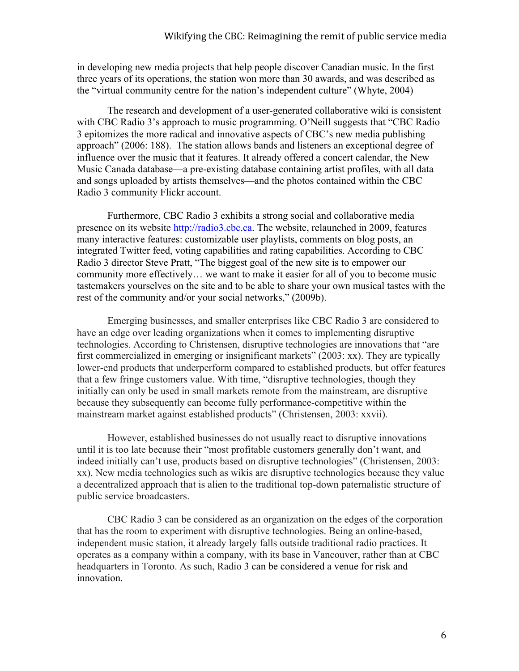in developing new media projects that help people discover Canadian music. In the first three years of its operations, the station won more than 30 awards, and was described as the "virtual community centre for the nation's independent culture" (Whyte, 2004)

The research and development of a user-generated collaborative wiki is consistent with CBC Radio 3's approach to music programming. O'Neill suggests that "CBC Radio" 3 epitomizes the more radical and innovative aspects of CBC's new media publishing approach" (2006: 188). The station allows bands and listeners an exceptional degree of influence over the music that it features. It already offered a concert calendar, the New Music Canada database—a pre-existing database containing artist profiles, with all data and songs uploaded by artists themselves—and the photos contained within the CBC Radio 3 community Flickr account.

Furthermore, CBC Radio 3 exhibits a strong social and collaborative media presence on its website http://radio3.cbc.ca. The website, relaunched in 2009, features many interactive features: customizable user playlists, comments on blog posts, an integrated Twitter feed, voting capabilities and rating capabilities. According to CBC Radio 3 director Steve Pratt, "The biggest goal of the new site is to empower our community more effectively… we want to make it easier for all of you to become music tastemakers yourselves on the site and to be able to share your own musical tastes with the rest of the community and/or your social networks," (2009b).

Emerging businesses, and smaller enterprises like CBC Radio 3 are considered to have an edge over leading organizations when it comes to implementing disruptive technologies. According to Christensen, disruptive technologies are innovations that "are first commercialized in emerging or insignificant markets" (2003: xx). They are typically lower-end products that underperform compared to established products, but offer features that a few fringe customers value. With time, "disruptive technologies, though they initially can only be used in small markets remote from the mainstream, are disruptive because they subsequently can become fully performance-competitive within the mainstream market against established products" (Christensen, 2003: xxvii).

However, established businesses do not usually react to disruptive innovations until it is too late because their "most profitable customers generally don't want, and indeed initially can't use, products based on disruptive technologies" (Christensen, 2003: xx). New media technologies such as wikis are disruptive technologies because they value a decentralized approach that is alien to the traditional top-down paternalistic structure of public service broadcasters.

CBC Radio 3 can be considered as an organization on the edges of the corporation that has the room to experiment with disruptive technologies. Being an online-based, independent music station, it already largely falls outside traditional radio practices. It operates as a company within a company, with its base in Vancouver, rather than at CBC headquarters in Toronto. As such, Radio 3 can be considered a venue for risk and innovation.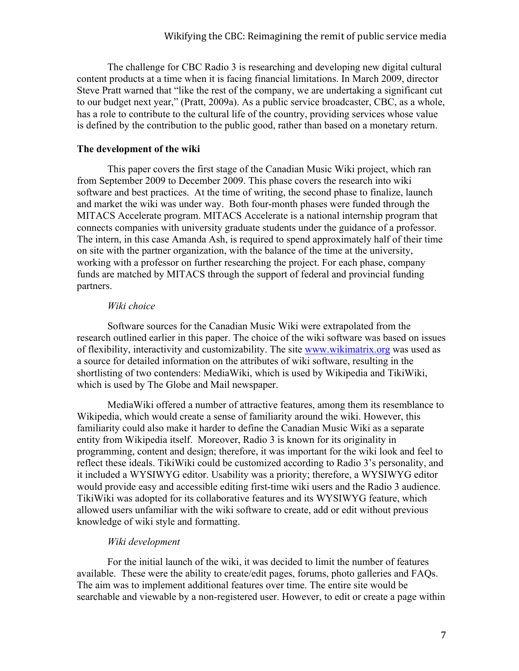The challenge for CBC Radio 3 is researching and developing new digital cultural content products at a time when it is facing financial limitations. In March 2009, director Steve Pratt warned that "like the rest of the company, we are undertaking a significant cut to our budget next year," (Pratt, 2009a). As a public service broadcaster, CBC, as a whole, has a role to contribute to the cultural life of the country, providing services whose value is defined by the contribution to the public good, rather than based on a monetary return.

# **The development of the wiki**

This paper covers the first stage of the Canadian Music Wiki project, which ran from September 2009 to December 2009. This phase covers the research into wiki software and best practices. At the time of writing, the second phase to finalize, launch and market the wiki was under way. Both four-month phases were funded through the MITACS Accelerate program. MITACS Accelerate is a national internship program that connects companies with university graduate students under the guidance of a professor. The intern, in this case Amanda Ash, is required to spend approximately half of their time on site with the partner organization, with the balance of the time at the university, working with a professor on further researching the project. For each phase, company funds are matched by MITACS through the support of federal and provincial funding partners.

# *Wiki choice*

Software sources for the Canadian Music Wiki were extrapolated from the research outlined earlier in this paper. The choice of the wiki software was based on issues of flexibility, interactivity and customizability. The site www.wikimatrix.org was used as a source for detailed information on the attributes of wiki software, resulting in the shortlisting of two contenders: MediaWiki, which is used by Wikipedia and TikiWiki, which is used by The Globe and Mail newspaper.

MediaWiki offered a number of attractive features, among them its resemblance to Wikipedia, which would create a sense of familiarity around the wiki. However, this familiarity could also make it harder to define the Canadian Music Wiki as a separate entity from Wikipedia itself. Moreover, Radio 3 is known for its originality in programming, content and design; therefore, it was important for the wiki look and feel to reflect these ideals. TikiWiki could be customized according to Radio 3's personality, and it included a WYSIWYG editor. Usability was a priority; therefore, a WYSIWYG editor would provide easy and accessible editing first-time wiki users and the Radio 3 audience. TikiWiki was adopted for its collaborative features and its WYSIWYG feature, which allowed users unfamiliar with the wiki software to create, add or edit without previous knowledge of wiki style and formatting.

# *Wiki development*

For the initial launch of the wiki, it was decided to limit the number of features available. These were the ability to create/edit pages, forums, photo galleries and FAQs. The aim was to implement additional features over time. The entire site would be searchable and viewable by a non-registered user. However, to edit or create a page within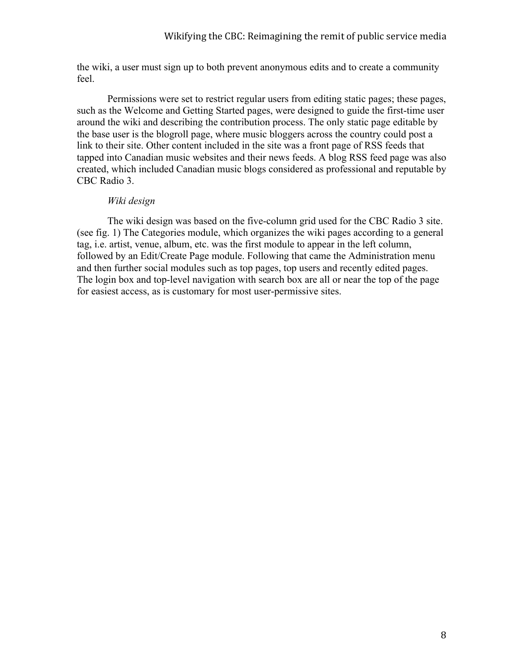the wiki, a user must sign up to both prevent anonymous edits and to create a community feel.

Permissions were set to restrict regular users from editing static pages; these pages, such as the Welcome and Getting Started pages, were designed to guide the first-time user around the wiki and describing the contribution process. The only static page editable by the base user is the blogroll page, where music bloggers across the country could post a link to their site. Other content included in the site was a front page of RSS feeds that tapped into Canadian music websites and their news feeds. A blog RSS feed page was also created, which included Canadian music blogs considered as professional and reputable by CBC Radio 3.

### *Wiki design*

The wiki design was based on the five-column grid used for the CBC Radio 3 site. (see fig. 1) The Categories module, which organizes the wiki pages according to a general tag, i.e. artist, venue, album, etc. was the first module to appear in the left column, followed by an Edit/Create Page module. Following that came the Administration menu and then further social modules such as top pages, top users and recently edited pages. The login box and top-level navigation with search box are all or near the top of the page for easiest access, as is customary for most user-permissive sites.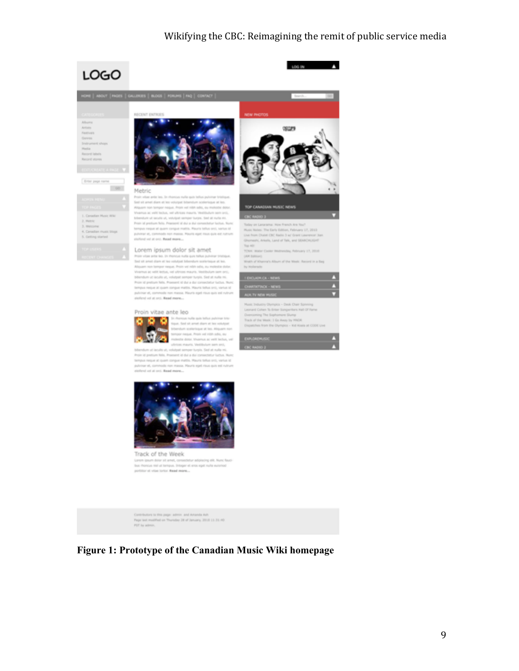



n



In rhancus nulle guis tellus pulvi

as maunts. Vestibulum sam smil. vel laculla ut, volutgat semper turgis. Sed at nulla mi.<br>educe falls, Praesent id dui a dui consectatur luctus. Nun<br>egue at quam congue mattis. Mauris tellus srci, varius id at, commode non massa. Mauris aget risus guis est rubrun

statent set at and, Read more ...

Proin vitae ante leo

ø

W.a

Track of the Week or indicioning stilt. No house with at tempore. Integer at eros egat multe euromod portion at vitas tortor. Read more ...

Contribution to this page: a<br>stress and Amanda Ash . <br> Nage last modified an Thurstey 24 of January, 2010<br>  $11.31.40$  PST by admit.

**Figure 1: Prototype of the Canadian Music Wiki homepage**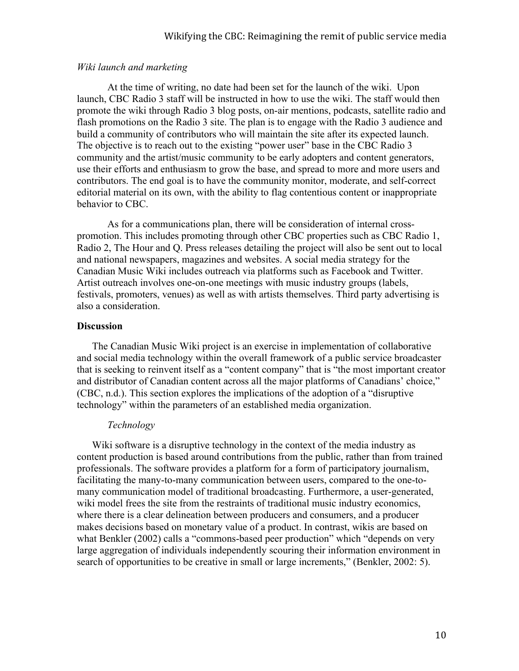### *Wiki launch and marketing*

At the time of writing, no date had been set for the launch of the wiki. Upon launch, CBC Radio 3 staff will be instructed in how to use the wiki. The staff would then promote the wiki through Radio 3 blog posts, on-air mentions, podcasts, satellite radio and flash promotions on the Radio 3 site. The plan is to engage with the Radio 3 audience and build a community of contributors who will maintain the site after its expected launch. The objective is to reach out to the existing "power user" base in the CBC Radio 3 community and the artist/music community to be early adopters and content generators, use their efforts and enthusiasm to grow the base, and spread to more and more users and contributors. The end goal is to have the community monitor, moderate, and self-correct editorial material on its own, with the ability to flag contentious content or inappropriate behavior to CBC.

As for a communications plan, there will be consideration of internal crosspromotion. This includes promoting through other CBC properties such as CBC Radio 1, Radio 2, The Hour and Q. Press releases detailing the project will also be sent out to local and national newspapers, magazines and websites. A social media strategy for the Canadian Music Wiki includes outreach via platforms such as Facebook and Twitter. Artist outreach involves one-on-one meetings with music industry groups (labels, festivals, promoters, venues) as well as with artists themselves. Third party advertising is also a consideration.

### **Discussion**

The Canadian Music Wiki project is an exercise in implementation of collaborative and social media technology within the overall framework of a public service broadcaster that is seeking to reinvent itself as a "content company" that is "the most important creator and distributor of Canadian content across all the major platforms of Canadians' choice," (CBC, n.d.). This section explores the implications of the adoption of a "disruptive technology" within the parameters of an established media organization.

### *Technology*

Wiki software is a disruptive technology in the context of the media industry as content production is based around contributions from the public, rather than from trained professionals. The software provides a platform for a form of participatory journalism, facilitating the many-to-many communication between users, compared to the one-tomany communication model of traditional broadcasting. Furthermore, a user-generated, wiki model frees the site from the restraints of traditional music industry economics, where there is a clear delineation between producers and consumers, and a producer makes decisions based on monetary value of a product. In contrast, wikis are based on what Benkler (2002) calls a "commons-based peer production" which "depends on very large aggregation of individuals independently scouring their information environment in search of opportunities to be creative in small or large increments," (Benkler, 2002: 5).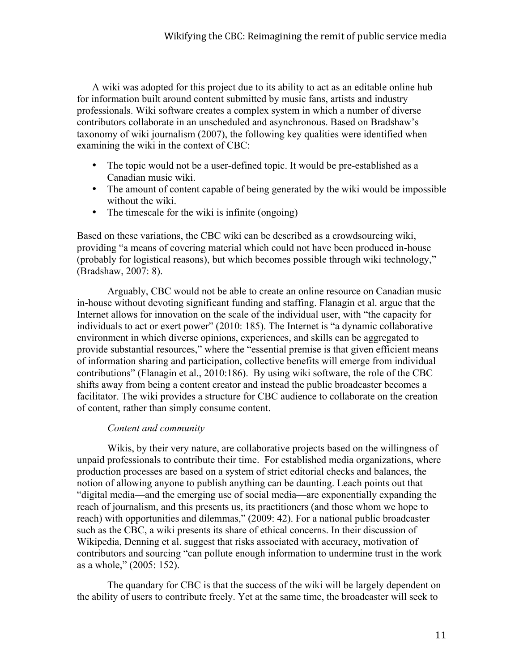A wiki was adopted for this project due to its ability to act as an editable online hub for information built around content submitted by music fans, artists and industry professionals. Wiki software creates a complex system in which a number of diverse contributors collaborate in an unscheduled and asynchronous. Based on Bradshaw's taxonomy of wiki journalism (2007), the following key qualities were identified when examining the wiki in the context of CBC:

- The topic would not be a user-defined topic. It would be pre-established as a Canadian music wiki.
- The amount of content capable of being generated by the wiki would be impossible without the wiki.
- The timescale for the wiki is infinite (ongoing)

Based on these variations, the CBC wiki can be described as a crowdsourcing wiki, providing "a means of covering material which could not have been produced in-house (probably for logistical reasons), but which becomes possible through wiki technology," (Bradshaw, 2007: 8).

Arguably, CBC would not be able to create an online resource on Canadian music in-house without devoting significant funding and staffing. Flanagin et al. argue that the Internet allows for innovation on the scale of the individual user, with "the capacity for individuals to act or exert power" (2010: 185). The Internet is "a dynamic collaborative environment in which diverse opinions, experiences, and skills can be aggregated to provide substantial resources," where the "essential premise is that given efficient means of information sharing and participation, collective benefits will emerge from individual contributions" (Flanagin et al., 2010:186). By using wiki software, the role of the CBC shifts away from being a content creator and instead the public broadcaster becomes a facilitator. The wiki provides a structure for CBC audience to collaborate on the creation of content, rather than simply consume content.

# *Content and community*

Wikis, by their very nature, are collaborative projects based on the willingness of unpaid professionals to contribute their time. For established media organizations, where production processes are based on a system of strict editorial checks and balances, the notion of allowing anyone to publish anything can be daunting. Leach points out that "digital media—and the emerging use of social media—are exponentially expanding the reach of journalism, and this presents us, its practitioners (and those whom we hope to reach) with opportunities and dilemmas," (2009: 42). For a national public broadcaster such as the CBC, a wiki presents its share of ethical concerns. In their discussion of Wikipedia, Denning et al. suggest that risks associated with accuracy, motivation of contributors and sourcing "can pollute enough information to undermine trust in the work as a whole," (2005: 152).

The quandary for CBC is that the success of the wiki will be largely dependent on the ability of users to contribute freely. Yet at the same time, the broadcaster will seek to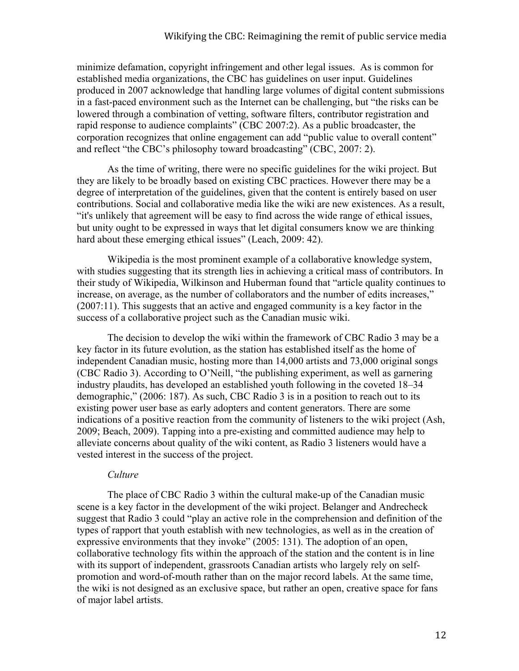minimize defamation, copyright infringement and other legal issues. As is common for established media organizations, the CBC has guidelines on user input. Guidelines produced in 2007 acknowledge that handling large volumes of digital content submissions in a fast-paced environment such as the Internet can be challenging, but "the risks can be lowered through a combination of vetting, software filters, contributor registration and rapid response to audience complaints" (CBC 2007:2). As a public broadcaster, the corporation recognizes that online engagement can add "public value to overall content" and reflect "the CBC's philosophy toward broadcasting" (CBC, 2007: 2).

As the time of writing, there were no specific guidelines for the wiki project. But they are likely to be broadly based on existing CBC practices. However there may be a degree of interpretation of the guidelines, given that the content is entirely based on user contributions. Social and collaborative media like the wiki are new existences. As a result, "it's unlikely that agreement will be easy to find across the wide range of ethical issues, but unity ought to be expressed in ways that let digital consumers know we are thinking hard about these emerging ethical issues" (Leach, 2009: 42).

Wikipedia is the most prominent example of a collaborative knowledge system, with studies suggesting that its strength lies in achieving a critical mass of contributors. In their study of Wikipedia, Wilkinson and Huberman found that "article quality continues to increase, on average, as the number of collaborators and the number of edits increases," (2007:11). This suggests that an active and engaged community is a key factor in the success of a collaborative project such as the Canadian music wiki.

The decision to develop the wiki within the framework of CBC Radio 3 may be a key factor in its future evolution, as the station has established itself as the home of independent Canadian music, hosting more than 14,000 artists and 73,000 original songs (CBC Radio 3). According to O'Neill, "the publishing experiment, as well as garnering industry plaudits, has developed an established youth following in the coveted 18–34 demographic," (2006: 187). As such, CBC Radio 3 is in a position to reach out to its existing power user base as early adopters and content generators. There are some indications of a positive reaction from the community of listeners to the wiki project (Ash, 2009; Beach, 2009). Tapping into a pre-existing and committed audience may help to alleviate concerns about quality of the wiki content, as Radio 3 listeners would have a vested interest in the success of the project.

# *Culture*

The place of CBC Radio 3 within the cultural make-up of the Canadian music scene is a key factor in the development of the wiki project. Belanger and Andrecheck suggest that Radio 3 could "play an active role in the comprehension and definition of the types of rapport that youth establish with new technologies, as well as in the creation of expressive environments that they invoke" (2005: 131). The adoption of an open, collaborative technology fits within the approach of the station and the content is in line with its support of independent, grassroots Canadian artists who largely rely on selfpromotion and word-of-mouth rather than on the major record labels. At the same time, the wiki is not designed as an exclusive space, but rather an open, creative space for fans of major label artists.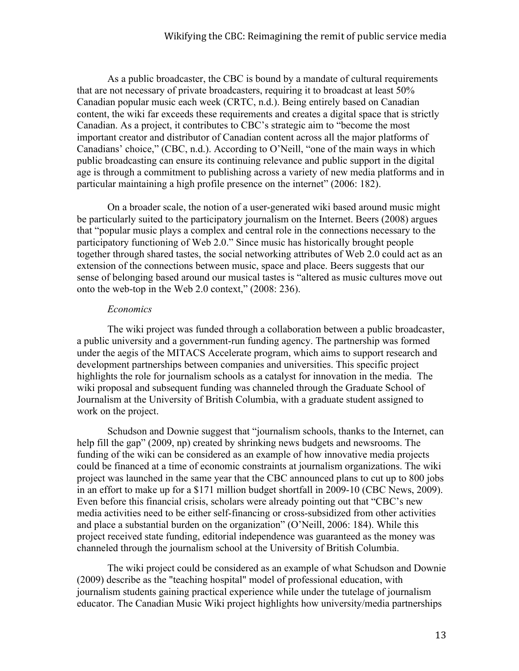As a public broadcaster, the CBC is bound by a mandate of cultural requirements that are not necessary of private broadcasters, requiring it to broadcast at least 50% Canadian popular music each week (CRTC, n.d.). Being entirely based on Canadian content, the wiki far exceeds these requirements and creates a digital space that is strictly Canadian. As a project, it contributes to CBC's strategic aim to "become the most important creator and distributor of Canadian content across all the major platforms of Canadians' choice," (CBC, n.d.). According to O'Neill, "one of the main ways in which public broadcasting can ensure its continuing relevance and public support in the digital age is through a commitment to publishing across a variety of new media platforms and in particular maintaining a high profile presence on the internet" (2006: 182).

On a broader scale, the notion of a user-generated wiki based around music might be particularly suited to the participatory journalism on the Internet. Beers (2008) argues that "popular music plays a complex and central role in the connections necessary to the participatory functioning of Web 2.0." Since music has historically brought people together through shared tastes, the social networking attributes of Web 2.0 could act as an extension of the connections between music, space and place. Beers suggests that our sense of belonging based around our musical tastes is "altered as music cultures move out onto the web-top in the Web 2.0 context," (2008: 236).

# *Economics*

The wiki project was funded through a collaboration between a public broadcaster, a public university and a government-run funding agency. The partnership was formed under the aegis of the MITACS Accelerate program, which aims to support research and development partnerships between companies and universities. This specific project highlights the role for journalism schools as a catalyst for innovation in the media. The wiki proposal and subsequent funding was channeled through the Graduate School of Journalism at the University of British Columbia, with a graduate student assigned to work on the project.

Schudson and Downie suggest that "journalism schools, thanks to the Internet, can help fill the gap" (2009, np) created by shrinking news budgets and newsrooms. The funding of the wiki can be considered as an example of how innovative media projects could be financed at a time of economic constraints at journalism organizations. The wiki project was launched in the same year that the CBC announced plans to cut up to 800 jobs in an effort to make up for a \$171 million budget shortfall in 2009-10 (CBC News, 2009). Even before this financial crisis, scholars were already pointing out that "CBC's new media activities need to be either self-financing or cross-subsidized from other activities and place a substantial burden on the organization" (O'Neill, 2006: 184). While this project received state funding, editorial independence was guaranteed as the money was channeled through the journalism school at the University of British Columbia.

The wiki project could be considered as an example of what Schudson and Downie (2009) describe as the "teaching hospital" model of professional education, with journalism students gaining practical experience while under the tutelage of journalism educator. The Canadian Music Wiki project highlights how university/media partnerships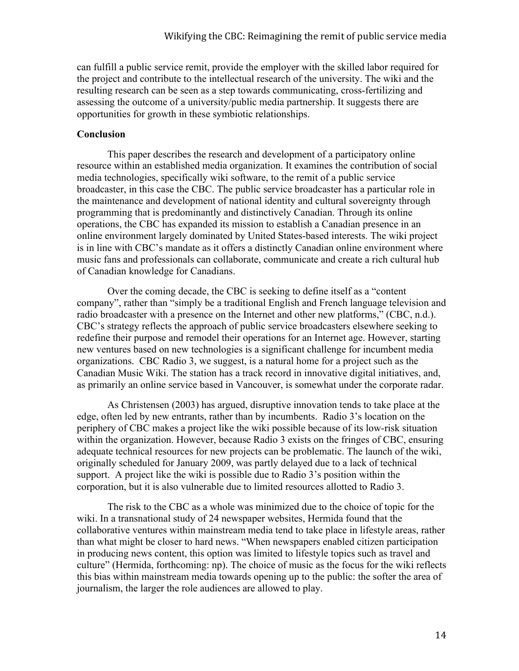can fulfill a public service remit, provide the employer with the skilled labor required for the project and contribute to the intellectual research of the university. The wiki and the resulting research can be seen as a step towards communicating, cross-fertilizing and assessing the outcome of a university/public media partnership. It suggests there are opportunities for growth in these symbiotic relationships.

# **Conclusion**

This paper describes the research and development of a participatory online resource within an established media organization. It examines the contribution of social media technologies, specifically wiki software, to the remit of a public service broadcaster, in this case the CBC. The public service broadcaster has a particular role in the maintenance and development of national identity and cultural sovereignty through programming that is predominantly and distinctively Canadian. Through its online operations, the CBC has expanded its mission to establish a Canadian presence in an online environment largely dominated by United States-based interests. The wiki project is in line with CBC's mandate as it offers a distinctly Canadian online environment where music fans and professionals can collaborate, communicate and create a rich cultural hub of Canadian knowledge for Canadians.

Over the coming decade, the CBC is seeking to define itself as a "content company", rather than "simply be a traditional English and French language television and radio broadcaster with a presence on the Internet and other new platforms," (CBC, n.d.). CBC's strategy reflects the approach of public service broadcasters elsewhere seeking to redefine their purpose and remodel their operations for an Internet age. However, starting new ventures based on new technologies is a significant challenge for incumbent media organizations. CBC Radio 3, we suggest, is a natural home for a project such as the Canadian Music Wiki. The station has a track record in innovative digital initiatives, and, as primarily an online service based in Vancouver, is somewhat under the corporate radar.

As Christensen (2003) has argued, disruptive innovation tends to take place at the edge, often led by new entrants, rather than by incumbents. Radio 3's location on the periphery of CBC makes a project like the wiki possible because of its low-risk situation within the organization. However, because Radio 3 exists on the fringes of CBC, ensuring adequate technical resources for new projects can be problematic. The launch of the wiki, originally scheduled for January 2009, was partly delayed due to a lack of technical support. A project like the wiki is possible due to Radio 3's position within the corporation, but it is also vulnerable due to limited resources allotted to Radio 3.

The risk to the CBC as a whole was minimized due to the choice of topic for the wiki. In a transnational study of 24 newspaper websites, Hermida found that the collaborative ventures within mainstream media tend to take place in lifestyle areas, rather than what might be closer to hard news. "When newspapers enabled citizen participation in producing news content, this option was limited to lifestyle topics such as travel and culture" (Hermida, forthcoming: np). The choice of music as the focus for the wiki reflects this bias within mainstream media towards opening up to the public: the softer the area of journalism, the larger the role audiences are allowed to play.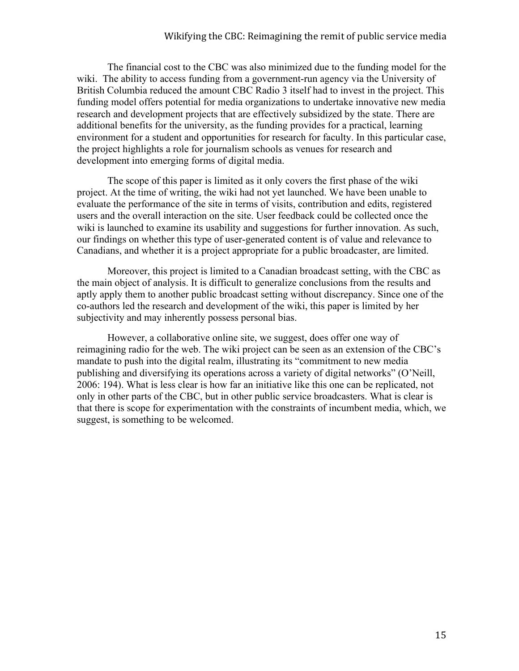The financial cost to the CBC was also minimized due to the funding model for the wiki. The ability to access funding from a government-run agency via the University of British Columbia reduced the amount CBC Radio 3 itself had to invest in the project. This funding model offers potential for media organizations to undertake innovative new media research and development projects that are effectively subsidized by the state. There are additional benefits for the university, as the funding provides for a practical, learning environment for a student and opportunities for research for faculty. In this particular case, the project highlights a role for journalism schools as venues for research and development into emerging forms of digital media.

The scope of this paper is limited as it only covers the first phase of the wiki project. At the time of writing, the wiki had not yet launched. We have been unable to evaluate the performance of the site in terms of visits, contribution and edits, registered users and the overall interaction on the site. User feedback could be collected once the wiki is launched to examine its usability and suggestions for further innovation. As such, our findings on whether this type of user-generated content is of value and relevance to Canadians, and whether it is a project appropriate for a public broadcaster, are limited.

Moreover, this project is limited to a Canadian broadcast setting, with the CBC as the main object of analysis. It is difficult to generalize conclusions from the results and aptly apply them to another public broadcast setting without discrepancy. Since one of the co-authors led the research and development of the wiki, this paper is limited by her subjectivity and may inherently possess personal bias.

However, a collaborative online site, we suggest, does offer one way of reimagining radio for the web. The wiki project can be seen as an extension of the CBC's mandate to push into the digital realm, illustrating its "commitment to new media publishing and diversifying its operations across a variety of digital networks" (O'Neill, 2006: 194). What is less clear is how far an initiative like this one can be replicated, not only in other parts of the CBC, but in other public service broadcasters. What is clear is that there is scope for experimentation with the constraints of incumbent media, which, we suggest, is something to be welcomed.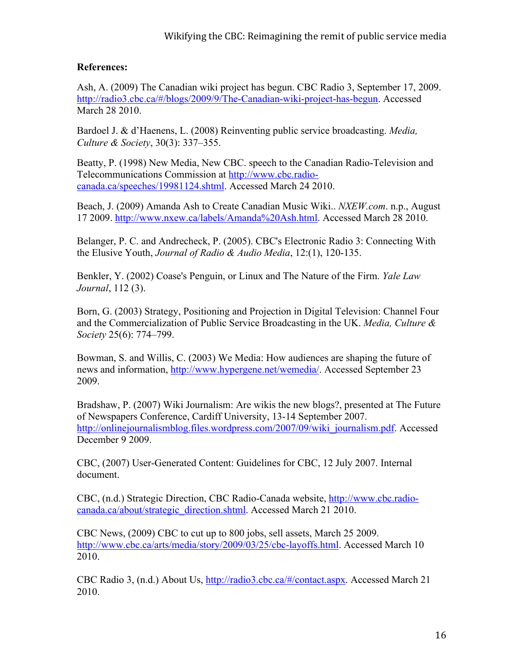# **References:**

Ash, A. (2009) The Canadian wiki project has begun. CBC Radio 3, September 17, 2009. http://radio3.cbc.ca/#/blogs/2009/9/The-Canadian-wiki-project-has-begun. Accessed March 28 2010.

Bardoel J. & d'Haenens, L. (2008) Reinventing public service broadcasting. *Media, Culture & Society*, 30(3): 337–355.

Beatty, P. (1998) New Media, New CBC. speech to the Canadian Radio-Television and Telecommunications Commission at http://www.cbc.radiocanada.ca/speeches/19981124.shtml. Accessed March 24 2010.

Beach, J. (2009) Amanda Ash to Create Canadian Music Wiki.. *NXEW.com*. n.p., August 17 2009. http://www.nxew.ca/labels/Amanda%20Ash.html. Accessed March 28 2010.

Belanger, P. C. and Andrecheck, P. (2005). CBC's Electronic Radio 3: Connecting With the Elusive Youth, *Journal of Radio & Audio Media*, 12:(1), 120-135.

Benkler, Y. (2002) Coase's Penguin, or Linux and The Nature of the Firm. *Yale Law Journal*, 112 (3).

Born, G. (2003) Strategy, Positioning and Projection in Digital Television: Channel Four and the Commercialization of Public Service Broadcasting in the UK. *Media, Culture & Society* 25(6): 774–799.

Bowman, S. and Willis, C. (2003) We Media: How audiences are shaping the future of news and information, http://www.hypergene.net/wemedia/. Accessed September 23 2009.

Bradshaw, P. (2007) Wiki Journalism: Are wikis the new blogs?, presented at The Future of Newspapers Conference, Cardiff University, 13-14 September 2007. http://onlinejournalismblog.files.wordpress.com/2007/09/wiki\_journalism.pdf. Accessed December 9 2009.

CBC, (2007) User-Generated Content: Guidelines for CBC, 12 July 2007. Internal document.

CBC, (n.d.) Strategic Direction, CBC Radio-Canada website, http://www.cbc.radiocanada.ca/about/strategic\_direction.shtml. Accessed March 21 2010.

CBC News, (2009) CBC to cut up to 800 jobs, sell assets, March 25 2009. http://www.cbc.ca/arts/media/story/2009/03/25/cbc-layoffs.html. Accessed March 10 2010.

CBC Radio 3, (n.d.) About Us, http://radio3.cbc.ca/#/contact.aspx. Accessed March 21 2010.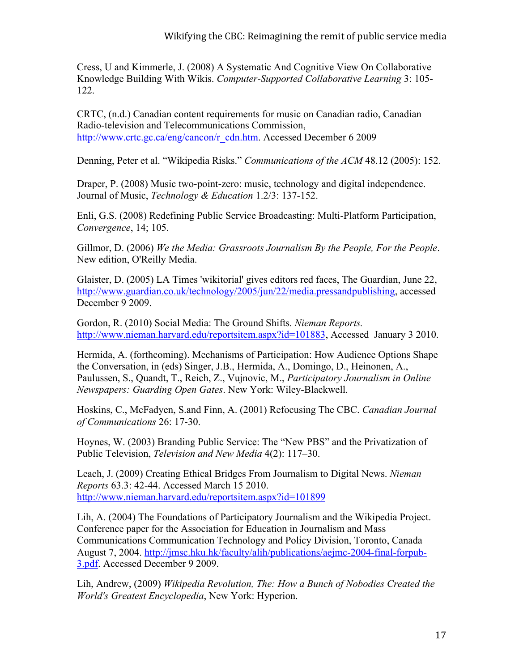Cress, U and Kimmerle, J. (2008) A Systematic And Cognitive View On Collaborative Knowledge Building With Wikis. *Computer-Supported Collaborative Learning* 3: 105- 122.

CRTC, (n.d.) Canadian content requirements for music on Canadian radio, Canadian Radio-television and Telecommunications Commission, http://www.crtc.gc.ca/eng/cancon/r\_cdn.htm. Accessed December 6 2009

Denning, Peter et al. "Wikipedia Risks." *Communications of the ACM* 48.12 (2005): 152.

Draper, P. (2008) Music two-point-zero: music, technology and digital independence. Journal of Music, *Technology & Education* 1.2/3: 137-152.

Enli, G.S. (2008) Redefining Public Service Broadcasting: Multi-Platform Participation, *Convergence*, 14; 105.

Gillmor, D. (2006) *We the Media: Grassroots Journalism By the People, For the People*. New edition, O'Reilly Media.

Glaister, D. (2005) LA Times 'wikitorial' gives editors red faces, The Guardian, June 22, http://www.guardian.co.uk/technology/2005/jun/22/media.pressandpublishing, accessed December 9 2009.

Gordon, R. (2010) Social Media: The Ground Shifts. *Nieman Reports.*  http://www.nieman.harvard.edu/reportsitem.aspx?id=101883, Accessed January 3 2010.

Hermida, A. (forthcoming). Mechanisms of Participation: How Audience Options Shape the Conversation, in (eds) Singer, J.B., Hermida, A., Domingo, D., Heinonen, A., Paulussen, S., Quandt, T., Reich, Z., Vujnovic, M., *Participatory Journalism in Online Newspapers: Guarding Open Gates*. New York: Wiley-Blackwell.

Hoskins, C., McFadyen, S.and Finn, A. (2001) Refocusing The CBC. *Canadian Journal of Communications* 26: 17-30.

Hoynes, W. (2003) Branding Public Service: The "New PBS" and the Privatization of Public Television, *Television and New Media* 4(2): 117–30.

Leach, J. (2009) Creating Ethical Bridges From Journalism to Digital News. *Nieman Reports* 63.3: 42-44. Accessed March 15 2010. http://www.nieman.harvard.edu/reportsitem.aspx?id=101899

Lih, A. (2004) The Foundations of Participatory Journalism and the Wikipedia Project. Conference paper for the Association for Education in Journalism and Mass Communications Communication Technology and Policy Division, Toronto, Canada August 7, 2004. http://jmsc.hku.hk/faculty/alih/publications/aejmc-2004-final-forpub-3.pdf. Accessed December 9 2009.

Lih, Andrew, (2009) *Wikipedia Revolution, The: How a Bunch of Nobodies Created the World's Greatest Encyclopedia*, New York: Hyperion.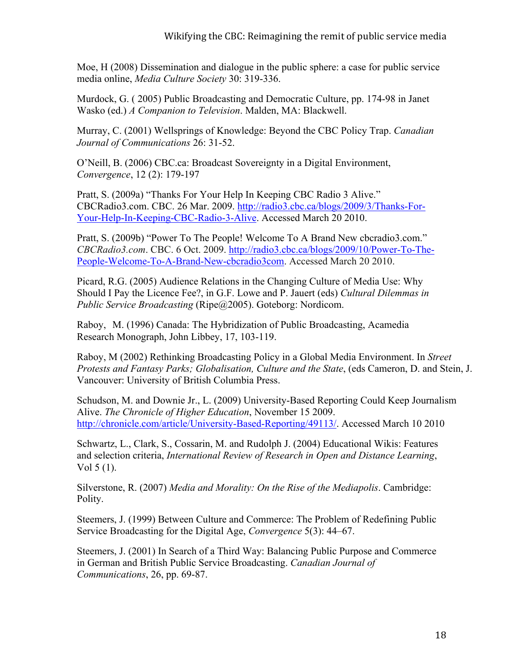Moe, H (2008) Dissemination and dialogue in the public sphere: a case for public service media online, *Media Culture Society* 30: 319-336.

Murdock, G. ( 2005) Public Broadcasting and Democratic Culture, pp. 174-98 in Janet Wasko (ed.) *A Companion to Television*. Malden, MA: Blackwell.

Murray, C. (2001) Wellsprings of Knowledge: Beyond the CBC Policy Trap. *Canadian Journal of Communications* 26: 31-52.

O'Neill, B. (2006) CBC.ca: Broadcast Sovereignty in a Digital Environment, *Convergence*, 12 (2): 179-197

Pratt, S. (2009a) "Thanks For Your Help In Keeping CBC Radio 3 Alive." CBCRadio3.com. CBC. 26 Mar. 2009. http://radio3.cbc.ca/blogs/2009/3/Thanks-For-Your-Help-In-Keeping-CBC-Radio-3-Alive. Accessed March 20 2010.

Pratt, S. (2009b) "Power To The People! Welcome To A Brand New cbcradio3.com." *CBCRadio3.com*. CBC. 6 Oct. 2009. http://radio3.cbc.ca/blogs/2009/10/Power-To-The-People-Welcome-To-A-Brand-New-cbcradio3com. Accessed March 20 2010.

Picard, R.G. (2005) Audience Relations in the Changing Culture of Media Use: Why Should I Pay the Licence Fee?, in G.F. Lowe and P. Jauert (eds) *Cultural Dilemmas in Public Service Broadcasting* (Ripe@2005). Goteborg: Nordicom.

Raboy, M. (1996) Canada: The Hybridization of Public Broadcasting, Acamedia Research Monograph, John Libbey, 17, 103-119.

Raboy, M (2002) Rethinking Broadcasting Policy in a Global Media Environment. In *Street Protests and Fantasy Parks; Globalisation, Culture and the State*, (eds Cameron, D. and Stein, J. Vancouver: University of British Columbia Press.

Schudson, M. and Downie Jr., L. (2009) University-Based Reporting Could Keep Journalism Alive. *The Chronicle of Higher Education*, November 15 2009. http://chronicle.com/article/University-Based-Reporting/49113/. Accessed March 10 2010

Schwartz, L., Clark, S., Cossarin, M. and Rudolph J. (2004) Educational Wikis: Features and selection criteria, *International Review of Research in Open and Distance Learning*, Vol 5 (1).

Silverstone, R. (2007) *Media and Morality: On the Rise of the Mediapolis*. Cambridge: Polity.

Steemers, J. (1999) Between Culture and Commerce: The Problem of Redefining Public Service Broadcasting for the Digital Age, *Convergence* 5(3): 44–67.

Steemers, J. (2001) In Search of a Third Way: Balancing Public Purpose and Commerce in German and British Public Service Broadcasting. *Canadian Journal of Communications*, 26, pp. 69-87.